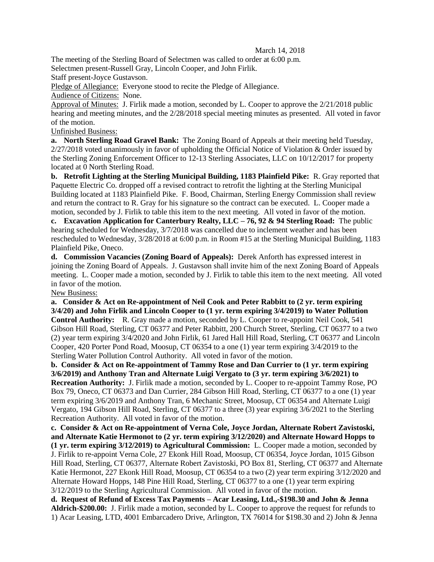## March 14, 2018

The meeting of the Sterling Board of Selectmen was called to order at 6:00 p.m. Selectmen present-Russell Gray, Lincoln Cooper, and John Firlik.

Staff present-Joyce Gustavson.

Pledge of Allegiance: Everyone stood to recite the Pledge of Allegiance.

Audience of Citizens: None.

Approval of Minutes: J. Firlik made a motion, seconded by L. Cooper to approve the 2/21/2018 public hearing and meeting minutes, and the 2/28/2018 special meeting minutes as presented. All voted in favor of the motion.

Unfinished Business:

**a. North Sterling Road Gravel Bank:** The Zoning Board of Appeals at their meeting held Tuesday, 2/27/2018 voted unanimously in favor of upholding the Official Notice of Violation & Order issued by the Sterling Zoning Enforcement Officer to 12-13 Sterling Associates, LLC on 10/12/2017 for property located at 0 North Sterling Road.

**b. Retrofit Lighting at the Sterling Municipal Building, 1183 Plainfield Pike:** R. Gray reported that Paquette Electric Co. dropped off a revised contract to retrofit the lighting at the Sterling Municipal Building located at 1183 Plainfield Pike. F. Bood, Chairman, Sterling Energy Commission shall review and return the contract to R. Gray for his signature so the contract can be executed. L. Cooper made a motion, seconded by J. Firlik to table this item to the next meeting. All voted in favor of the motion.

**c. Excavation Application for Canterbury Realty, LLC – 76, 92 & 94 Sterling Road:** The public hearing scheduled for Wednesday,  $3/7/2018$  was cancelled due to inclement weather and has been rescheduled to Wednesday, 3/28/2018 at 6:00 p.m. in Room #15 at the Sterling Municipal Building, 1183 Plainfield Pike, Oneco.

**d. Commission Vacancies (Zoning Board of Appeals):** Derek Anforth has expressed interest in joining the Zoning Board of Appeals. J. Gustavson shall invite him of the next Zoning Board of Appeals meeting. L. Cooper made a motion, seconded by J. Firlik to table this item to the next meeting. All voted in favor of the motion.

## New Business:

**a. Consider & Act on Re-appointment of Neil Cook and Peter Rabbitt to (2 yr. term expiring 3/4/20) and John Firlik and Lincoln Cooper to (1 yr. term expiring 3/4/2019) to Water Pollution Control Authority:** R. Gray made a motion, seconded by L. Cooper to re-appoint Neil Cook, 541 Gibson Hill Road, Sterling, CT 06377 and Peter Rabbitt, 200 Church Street, Sterling, CT 06377 to a two (2) year term expiring 3/4/2020 and John Firlik, 61 Jared Hall Hill Road, Sterling, CT 06377 and Lincoln Cooper, 420 Porter Pond Road, Moosup, CT 06354 to a one (1) year term expiring 3/4/2019 to the Sterling Water Pollution Control Authority. All voted in favor of the motion.

**b. Consider & Act on Re-appointment of Tammy Rose and Dan Currier to (1 yr. term expiring 3/6/2019) and Anthony Tran and Alternate Luigi Vergato to (3 yr. term expiring 3/6/2021) to Recreation Authority:** J. Firlik made a motion, seconded by L. Cooper to re-appoint Tammy Rose, PO Box 79, Oneco, CT 06373 and Dan Currier, 284 Gibson Hill Road, Sterling, CT 06377 to a one (1) year term expiring 3/6/2019 and Anthony Tran, 6 Mechanic Street, Moosup, CT 06354 and Alternate Luigi Vergato, 194 Gibson Hill Road, Sterling, CT 06377 to a three (3) year expiring 3/6/2021 to the Sterling Recreation Authority. All voted in favor of the motion.

**c. Consider & Act on Re-appointment of Verna Cole, Joyce Jordan, Alternate Robert Zavistoski, and Alternate Katie Hermonot to (2 yr. term expiring 3/12/2020) and Alternate Howard Hopps to** 

**(1 yr. term expiring 3/12/2019) to Agricultural Commission:** L. Cooper made a motion, seconded by J. Firlik to re-appoint Verna Cole, 27 Ekonk Hill Road, Moosup, CT 06354, Joyce Jordan, 1015 Gibson Hill Road, Sterling, CT 06377, Alternate Robert Zavistoski, PO Box 81, Sterling, CT 06377 and Alternate Katie Hermonot, 227 Ekonk Hill Road, Moosup, CT 06354 to a two (2) year term expiring 3/12/2020 and Alternate Howard Hopps, 148 Pine Hill Road, Sterling, CT 06377 to a one (1) year term expiring 3/12/2019 to the Sterling Agricultural Commission. All voted in favor of the motion.

**d. Request of Refund of Excess Tax Payments – Acar Leasing, Ltd.,-\$198.30 and John & Jenna Aldrich-\$200.00:** J. Firlik made a motion, seconded by L. Cooper to approve the request for refunds to 1) Acar Leasing, LTD, 4001 Embarcadero Drive, Arlington, TX 76014 for \$198.30 and 2) John & Jenna